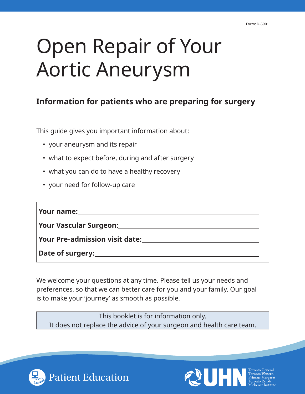# Open Repair of Your Aortic Aneurysm

# **Information for patients who are preparing for surgery**

This guide gives you important information about:

- your aneurysm and its repair
- what to expect before, during and after surgery
- what you can do to have a healthy recovery
- your need for follow-up care

| Your name: $\sqrt{2\pi\left(\frac{1}{2}\right)^{2}+2\pi\left(\frac{1}{2}\right)^{2}+4\pi^{2}}$ |  |
|------------------------------------------------------------------------------------------------|--|
| Your Vascular Surgeon: National Process of New Your Vascular Surgeon:                          |  |
|                                                                                                |  |
|                                                                                                |  |

We welcome your questions at any time. Please tell us your needs and preferences, so that we can better care for you and your family. Our goal is to make your 'journey' as smooth as possible.

This booklet is for information only. It does not replace the advice of your surgeon and health care team.



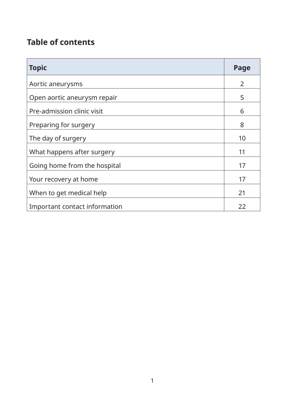# **Table of contents**

| <b>Topic</b>                  | Page           |
|-------------------------------|----------------|
| Aortic aneurysms              | $\overline{2}$ |
| Open aortic aneurysm repair   | 5              |
| Pre-admission clinic visit    | 6              |
| Preparing for surgery         | 8              |
| The day of surgery            | 10             |
| What happens after surgery    | 11             |
| Going home from the hospital  | 17             |
| Your recovery at home         | 17             |
| When to get medical help      | 21             |
| Important contact information | 22             |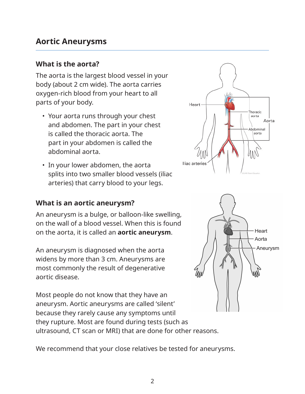# **Aortic Aneurysms**

#### **What is the aorta?**

The aorta is the largest blood vessel in your body (about 2 cm wide). The aorta carries oxygen-rich blood from your heart to all parts of your body.

- Your aorta runs through your chest and abdomen. The part in your chest is called the thoracic aorta. The part in your abdomen is called the abdominal aorta.
- In your lower abdomen, the aorta splits into two smaller blood vessels (iliac arteries) that carry blood to your legs.

#### **What is an aortic aneurysm?**

An aneurysm is a bulge, or balloon-like swelling, on the wall of a blood vessel. When this is found on the aorta, it is called an **aortic aneurysm**.

An aneurysm is diagnosed when the aorta widens by more than 3 cm. Aneurysms are most commonly the result of degenerative aortic disease.

Most people do not know that they have an aneurysm. Aortic aneurysms are called 'silent' because they rarely cause any symptoms until they rupture. Most are found during tests (such as ultrasound, CT scan or MRI) that are done for other reasons.

We recommend that your close relatives be tested for aneurysms.



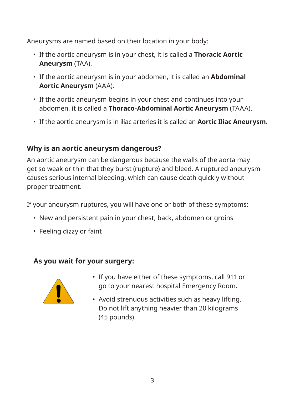Aneurysms are named based on their location in your body:

- If the aortic aneurysm is in your chest, it is called a **Thoracic Aortic Aneurysm** (TAA).
- If the aortic aneurysm is in your abdomen, it is called an **Abdominal Aortic Aneurysm** (AAA).
- If the aortic aneurysm begins in your chest and continues into your abdomen, it is called a **Thoraco-Abdominal Aortic Aneurysm** (TAAA).
- If the aortic aneurysm is in iliac arteries it is called an **Aortic Iliac Aneurysm**.

#### **Why is an aortic aneurysm dangerous?**

An aortic aneurysm can be dangerous because the walls of the aorta may get so weak or thin that they burst (rupture) and bleed. A ruptured aneurysm causes serious internal bleeding, which can cause death quickly without proper treatment.

If your aneurysm ruptures, you will have one or both of these symptoms:

- New and persistent pain in your chest, back, abdomen or groins
- Feeling dizzy or faint

## **As you wait for your surgery:**



- If you have either of these symptoms, call 911 or go to your nearest hospital Emergency Room.
- Avoid strenuous activities such as heavy lifting. Do not lift anything heavier than 20 kilograms (45 pounds).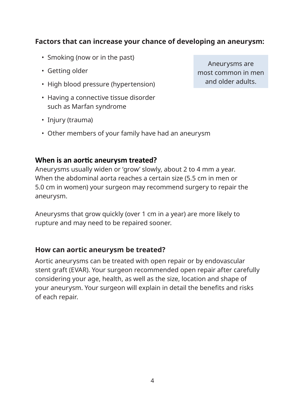#### **Factors that can increase your chance of developing an aneurysm:**

- Smoking (now or in the past)
- Getting older
- High blood pressure (hypertension)
- Having a connective tissue disorder such as Marfan syndrome
- Injury (trauma)
- Other members of your family have had an aneurysm

#### **When is an aortic aneurysm treated?**

Aneurysms usually widen or 'grow' slowly, about 2 to 4 mm a year. When the abdominal aorta reaches a certain size (5.5 cm in men or 5.0 cm in women) your surgeon may recommend surgery to repair the aneurysm.

Aneurysms that grow quickly (over 1 cm in a year) are more likely to rupture and may need to be repaired sooner.

#### **How can aortic aneurysm be treated?**

Aortic aneurysms can be treated with open repair or by endovascular stent graft (EVAR). Your surgeon recommended open repair after carefully considering your age, health, as well as the size, location and shape of your aneurysm. Your surgeon will explain in detail the benefits and risks of each repair.

Aneurysms are most common in men and older adults.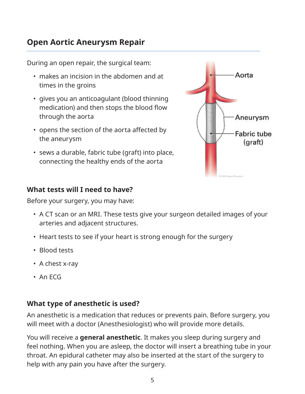# **Open Aortic Aneurysm Repair**

During an open repair, the surgical team:

- makes an incision in the abdomen and at times in the groins
- gives you an anticoagulant (blood thinning medication) and then stops the blood flow through the aorta
- opens the section of the aorta affected by the aneurysm
- sews a durable, fabric tube (graft) into place, connecting the healthy ends of the aorta

# **What tests will I need to have?**

Before your surgery, you may have:

- A CT scan or an MRI. These tests give your surgeon detailed images of your arteries and adjacent structures.
- Heart tests to see if your heart is strong enough for the surgery
- Blood tests
- A chest x-ray
- An ECG

#### **What type of anesthetic is used?**

An anesthetic is a medication that reduces or prevents pain. Before surgery, you will meet with a doctor (Anesthesiologist) who will provide more details.

You will receive a **general anesthetic**. It makes you sleep during surgery and feel nothing. When you are asleep, the doctor will insert a breathing tube in your throat. An epidural catheter may also be inserted at the start of the surgery to help with any pain you have after the surgery.

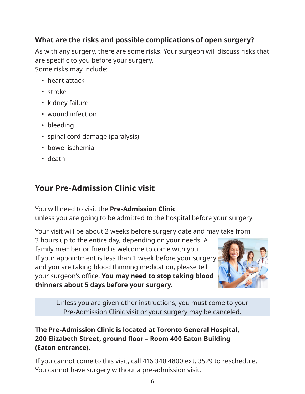# **What are the risks and possible complications of open surgery?**

As with any surgery, there are some risks. Your surgeon will discuss risks that are specific to you before your surgery. Some risks may include:

- heart attack
- stroke
- kidney failure
- wound infection
- bleeding
- spinal cord damage (paralysis)
- bowel ischemia
- death

# **Your Pre-Admission Clinic visit**

You will need to visit the **Pre-Admission Clinic**

unless you are going to be admitted to the hospital before your surgery.

Your visit will be about 2 weeks before surgery date and may take from

3 hours up to the entire day, depending on your needs. A family member or friend is welcome to come with you. If your appointment is less than 1 week before your surgery and you are taking blood thinning medication, please tell your surgeon's office. **You may need to stop taking blood thinners about 5 days before your surgery.**



Unless you are given other instructions, you must come to your Pre-Admission Clinic visit or your surgery may be canceled.

# **The Pre-Admission Clinic is located at Toronto General Hospital, 200 Elizabeth Street, ground floor – Room 400 Eaton Building (Eaton entrance).**

If you cannot come to this visit, call 416 340 4800 ext. 3529 to reschedule. You cannot have surgery without a pre-admission visit.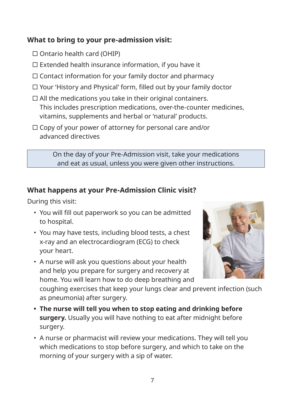## **What to bring to your pre-admission visit:**

- $\Box$  Ontario health card (OHIP)
- $\Box$  Extended health insurance information, if you have it
- $\Box$  Contact information for your family doctor and pharmacy
- Your 'History and Physical' form, filled out by your family doctor
- $\Box$  All the medications you take in their original containers. This includes prescription medications, over-the-counter medicines, vitamins, supplements and herbal or 'natural' products.
- $\Box$  Copy of your power of attorney for personal care and/or advanced directives

On the day of your Pre-Admission visit, take your medications and eat as usual, unless you were given other instructions.

# **What happens at your Pre-Admission Clinic visit?**

During this visit:

- You will fill out paperwork so you can be admitted to hospital.
- You may have tests, including blood tests, a chest x-ray and an electrocardiogram (ECG) to check your heart.
- A nurse will ask you questions about your health and help you prepare for surgery and recovery at home. You will learn how to do deep breathing and



coughing exercises that keep your lungs clear and prevent infection (such as pneumonia) after surgery.

- **• The nurse will tell you when to stop eating and drinking before surgery.** Usually you will have nothing to eat after midnight before surgery.
- A nurse or pharmacist will review your medications. They will tell you which medications to stop before surgery, and which to take on the morning of your surgery with a sip of water.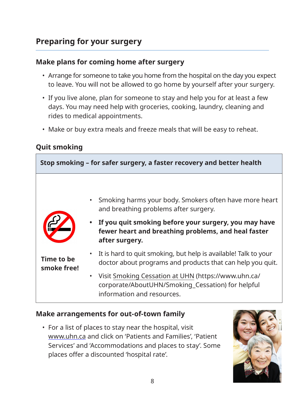#### **Make plans for coming home after surgery**

- Arrange for someone to take you home from the hospital on the day you expect to leave. You will not be allowed to go home by yourself after your surgery.
- If you live alone, plan for someone to stay and help you for at least a few days. You may need help with groceries, cooking, laundry, cleaning and rides to medical appointments.
- Make or buy extra meals and freeze meals that will be easy to reheat.

# **Quit smoking**



#### **Make arrangements for out-of-town family**

• For a list of places to stay near the hospital, visit www.uhn.ca and click on 'Patients and Families', 'Patient Services' and 'Accommodations and places to stay'. Some places offer a discounted 'hospital rate'.

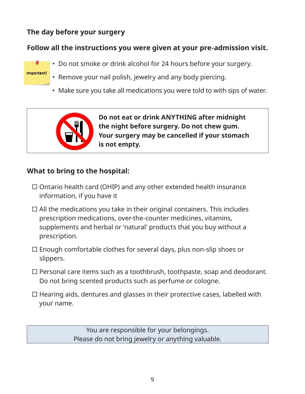## **The day before your surgery**

Important!

# **Follow all the instructions you were given at your pre-admission visit.**



- Remove your nail polish, jewelry and any body piercing.
- Make sure you take all medications you were told to with sips of water.



#### **What to bring to the hospital:**

- $\Box$  Ontario health card (OHIP) and any other extended health insurance information, if you have it
- $\Box$  All the medications you take in their original containers. This includes prescription medications, over-the-counter medicines, vitamins, supplements and herbal or 'natural' products that you buy without a prescription.
- Enough comfortable clothes for several days, plus non-slip shoes or slippers.
- $\Box$  Personal care items such as a toothbrush, toothpaste, soap and deodorant. Do not bring scented products such as perfume or cologne.
- $\Box$  Hearing aids, dentures and glasses in their protective cases, labelled with your name.

You are responsible for your belongings. Please do not bring jewelry or anything valuable.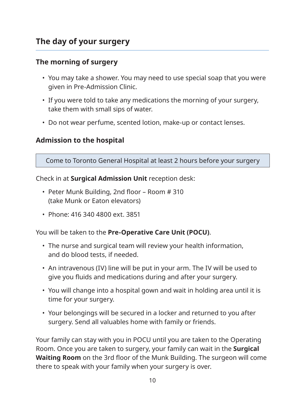# **The day of your surgery**

#### **The morning of surgery**

- You may take a shower. You may need to use special soap that you were given in Pre-Admission Clinic.
- If you were told to take any medications the morning of your surgery, take them with small sips of water.
- Do not wear perfume, scented lotion, make-up or contact lenses.

#### **Admission to the hospital**

Come to Toronto General Hospital at least 2 hours before your surgery

Check in at **Surgical Admission Unit** reception desk:

- Peter Munk Building, 2nd floor Room # 310 (take Munk or Eaton elevators)
- Phone: 416 340 4800 ext. 3851

You will be taken to the **Pre-Operative Care Unit (POCU)**.

- The nurse and surgical team will review your health information, and do blood tests, if needed.
- An intravenous (IV) line will be put in your arm. The IV will be used to give you fluids and medications during and after your surgery.
- You will change into a hospital gown and wait in holding area until it is time for your surgery.
- Your belongings will be secured in a locker and returned to you after surgery. Send all valuables home with family or friends.

Your family can stay with you in POCU until you are taken to the Operating Room. Once you are taken to surgery, your family can wait in the **Surgical Waiting Room** on the 3rd floor of the Munk Building. The surgeon will come there to speak with your family when your surgery is over.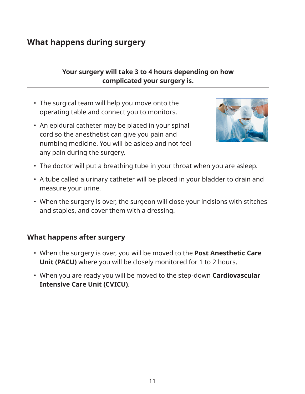#### **Your surgery will take 3 to 4 hours depending on how complicated your surgery is.**

- The surgical team will help you move onto the operating table and connect you to monitors.
- An epidural catheter may be placed in your spinal cord so the anesthetist can give you pain and numbing medicine. You will be asleep and not feel any pain during the surgery.



- The doctor will put a breathing tube in your throat when you are asleep.
- A tube called a urinary catheter will be placed in your bladder to drain and measure your urine.
- When the surgery is over, the surgeon will close your incisions with stitches and staples, and cover them with a dressing.

#### **What happens after surgery**

- When the surgery is over, you will be moved to the **Post Anesthetic Care Unit (PACU)** where you will be closely monitored for 1 to 2 hours.
- When you are ready you will be moved to the step-down **Cardiovascular Intensive Care Unit (CVICU)**.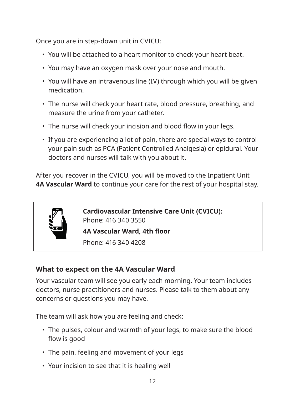Once you are in step-down unit in CVICU:

- You will be attached to a heart monitor to check your heart beat.
- You may have an oxygen mask over your nose and mouth.
- You will have an intravenous line (IV) through which you will be given medication.
- The nurse will check your heart rate, blood pressure, breathing, and measure the urine from your catheter.
- The nurse will check your incision and blood flow in your legs.
- If you are experiencing a lot of pain, there are special ways to control your pain such as PCA (Patient Controlled Analgesia) or epidural. Your doctors and nurses will talk with you about it.

After you recover in the CVICU, you will be moved to the Inpatient Unit **4A Vascular Ward** to continue your care for the rest of your hospital stay.



**Cardiovascular Intensive Care Unit (CVICU):** Phone: 416 340 3550 **4A Vascular Ward, 4th floor**

Phone: 416 340 4208

## **What to expect on the 4A Vascular Ward**

Your vascular team will see you early each morning. Your team includes doctors, nurse practitioners and nurses. Please talk to them about any concerns or questions you may have.

The team will ask how you are feeling and check:

- The pulses, colour and warmth of your legs, to make sure the blood flow is good
- The pain, feeling and movement of your legs
- Your incision to see that it is healing well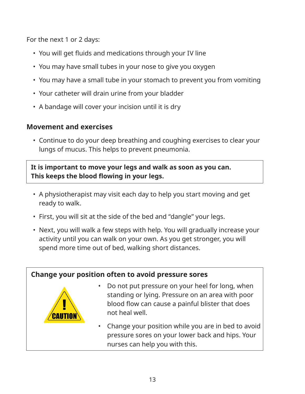For the next 1 or 2 days:

- You will get fluids and medications through your IV line
- You may have small tubes in your nose to give you oxygen
- You may have a small tube in your stomach to prevent you from vomiting
- Your catheter will drain urine from your bladder
- A bandage will cover your incision until it is dry

#### **Movement and exercises**

• Continue to do your deep breathing and coughing exercises to clear your lungs of mucus. This helps to prevent pneumonia.

#### **It is important to move your legs and walk as soon as you can. This keeps the blood flowing in your legs.**

- A physiotherapist may visit each day to help you start moving and get ready to walk.
- First, you will sit at the side of the bed and "dangle" your legs.
- Next, you will walk a few steps with help. You will gradually increase your activity until you can walk on your own. As you get stronger, you will spend more time out of bed, walking short distances.

#### **Change your position often to avoid pressure sores**



- Do not put pressure on your heel for long, when standing or lying. Pressure on an area with poor blood flow can cause a painful blister that does not heal well.
- Change your position while you are in bed to avoid pressure sores on your lower back and hips. Your nurses can help you with this.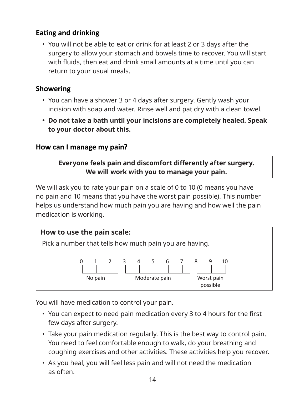#### **Eating and drinking**

• You will not be able to eat or drink for at least 2 or 3 days after the surgery to allow your stomach and bowels time to recover. You will start with fluids, then eat and drink small amounts at a time until you can return to your usual meals.

#### **Showering**

- You can have a shower 3 or 4 days after surgery. Gently wash your incision with soap and water. Rinse well and pat dry with a clean towel.
- **• Do not take a bath until your incisions are completely healed. Speak to your doctor about this.**

#### **How can I manage my pain?**

**Everyone feels pain and discomfort differently after surgery. We will work with you to manage your pain.**

We will ask you to rate your pain on a scale of 0 to 10 (0 means you have no pain and 10 means that you have the worst pain possible). This number helps us understand how much pain you are having and how well the pain medication is working.



You will have medication to control your pain.

- You can expect to need pain medication every 3 to 4 hours for the first few days after surgery.
- Take your pain medication regularly. This is the best way to control pain. You need to feel comfortable enough to walk, do your breathing and coughing exercises and other activities. These activities help you recover.
- As you heal, you will feel less pain and will not need the medication as often.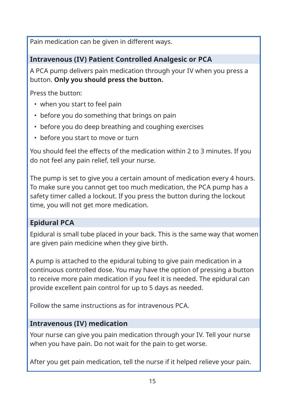Pain medication can be given in different ways.

#### **Intravenous (IV) Patient Controlled Analgesic or PCA**

A PCA pump delivers pain medication through your IV when you press a button. **Only you should press the button.**

Press the button:

- when you start to feel pain
- before you do something that brings on pain
- before you do deep breathing and coughing exercises
- before you start to move or turn

You should feel the effects of the medication within 2 to 3 minutes. If you do not feel any pain relief, tell your nurse.

The pump is set to give you a certain amount of medication every 4 hours. To make sure you cannot get too much medication, the PCA pump has a safety timer called a lockout. If you press the button during the lockout time, you will not get more medication.

#### **Epidural PCA**

Epidural is small tube placed in your back. This is the same way that women are given pain medicine when they give birth.

A pump is attached to the epidural tubing to give pain medication in a continuous controlled dose. You may have the option of pressing a button to receive more pain medication if you feel it is needed. The epidural can provide excellent pain control for up to 5 days as needed.

Follow the same instructions as for intravenous PCA.

#### **Intravenous (IV) medication**

Your nurse can give you pain medication through your IV. Tell your nurse when you have pain. Do not wait for the pain to get worse.

After you get pain medication, tell the nurse if it helped relieve your pain.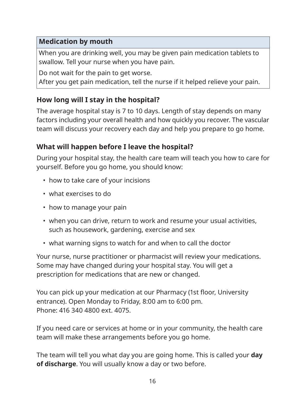#### **Medication by mouth**

When you are drinking well, you may be given pain medication tablets to swallow. Tell your nurse when you have pain.

Do not wait for the pain to get worse.

After you get pain medication, tell the nurse if it helped relieve your pain.

#### **How long will I stay in the hospital?**

The average hospital stay is 7 to 10 days. Length of stay depends on many factors including your overall health and how quickly you recover. The vascular team will discuss your recovery each day and help you prepare to go home.

#### **What will happen before I leave the hospital?**

During your hospital stay, the health care team will teach you how to care for yourself. Before you go home, you should know:

- how to take care of your incisions
- what exercises to do
- how to manage your pain
- when you can drive, return to work and resume your usual activities, such as housework, gardening, exercise and sex
- what warning signs to watch for and when to call the doctor

Your nurse, nurse practitioner or pharmacist will review your medications. Some may have changed during your hospital stay. You will get a prescription for medications that are new or changed.

You can pick up your medication at our Pharmacy (1st floor, University entrance). Open Monday to Friday, 8:00 am to 6:00 pm. Phone: 416 340 4800 ext. 4075.

If you need care or services at home or in your community, the health care team will make these arrangements before you go home.

The team will tell you what day you are going home. This is called your **day of discharge**. You will usually know a day or two before.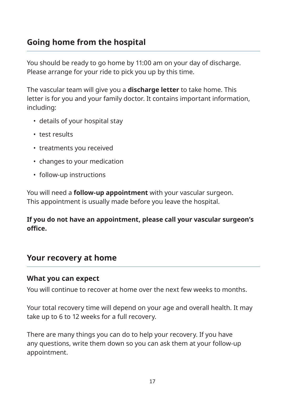# **Going home from the hospital**

You should be ready to go home by 11:00 am on your day of discharge. Please arrange for your ride to pick you up by this time.

The vascular team will give you a **discharge letter** to take home. This letter is for you and your family doctor. It contains important information, including:

- details of your hospital stay
- test results
- treatments you received
- changes to your medication
- follow-up instructions

You will need a **follow-up appointment** with your vascular surgeon. This appointment is usually made before you leave the hospital.

**If you do not have an appointment, please call your vascular surgeon's office.** 

#### **Your recovery at home**

#### **What you can expect**

You will continue to recover at home over the next few weeks to months.

Your total recovery time will depend on your age and overall health. It may take up to 6 to 12 weeks for a full recovery.

There are many things you can do to help your recovery. If you have any questions, write them down so you can ask them at your follow-up appointment.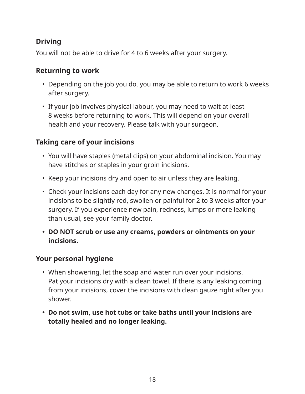# **Driving**

You will not be able to drive for 4 to 6 weeks after your surgery.

#### **Returning to work**

- Depending on the job you do, you may be able to return to work 6 weeks after surgery.
- If your job involves physical labour, you may need to wait at least 8 weeks before returning to work. This will depend on your overall health and your recovery. Please talk with your surgeon.

#### **Taking care of your incisions**

- You will have staples (metal clips) on your abdominal incision. You may have stitches or staples in your groin incisions.
- Keep your incisions dry and open to air unless they are leaking.
- Check your incisions each day for any new changes. It is normal for your incisions to be slightly red, swollen or painful for 2 to 3 weeks after your surgery. If you experience new pain, redness, lumps or more leaking than usual, see your family doctor.
- **• DO NOT scrub or use any creams, powders or ointments on your incisions.**

#### **Your personal hygiene**

- When showering, let the soap and water run over your incisions. Pat your incisions dry with a clean towel. If there is any leaking coming from your incisions, cover the incisions with clean gauze right after you shower.
- **• Do not swim, use hot tubs or take baths until your incisions are totally healed and no longer leaking.**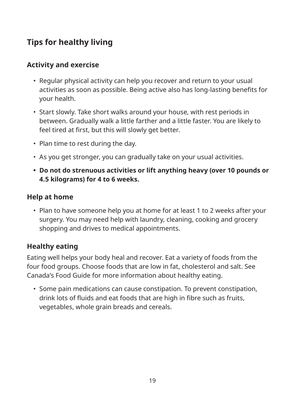# **Tips for healthy living**

#### **Activity and exercise**

- Regular physical activity can help you recover and return to your usual activities as soon as possible. Being active also has long-lasting benefits for your health.
- Start slowly. Take short walks around your house, with rest periods in between. Gradually walk a little farther and a little faster. You are likely to feel tired at first, but this will slowly get better.
- Plan time to rest during the day.
- As you get stronger, you can gradually take on your usual activities.
- **• Do not do strenuous activities or lift anything heavy (over 10 pounds or 4.5 kilograms) for 4 to 6 weeks.**

#### **Help at home**

• Plan to have someone help you at home for at least 1 to 2 weeks after your surgery. You may need help with laundry, cleaning, cooking and grocery shopping and drives to medical appointments.

#### **Healthy eating**

Eating well helps your body heal and recover. Eat a variety of foods from the four food groups. Choose foods that are low in fat, cholesterol and salt. See Canada's Food Guide for more information about healthy eating.

• Some pain medications can cause constipation. To prevent constipation, drink lots of fluids and eat foods that are high in fibre such as fruits, vegetables, whole grain breads and cereals.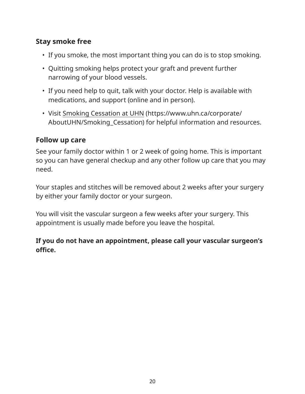## **Stay smoke free**

- If you smoke, the most important thing you can do is to stop smoking.
- Quitting smoking helps protect your graft and prevent further narrowing of your blood vessels.
- If you need help to quit, talk with your doctor. Help is available with medications, and support (online and in person).
- Visit Smoking Cessation at UHN (https://www.uhn.ca/corporate/ AboutUHN/Smoking\_Cessation) for helpful information and resources.

#### **Follow up care**

See your family doctor within 1 or 2 week of going home. This is important so you can have general checkup and any other follow up care that you may need.

Your staples and stitches will be removed about 2 weeks after your surgery by either your family doctor or your surgeon.

You will visit the vascular surgeon a few weeks after your surgery. This appointment is usually made before you leave the hospital.

#### **If you do not have an appointment, please call your vascular surgeon's office.**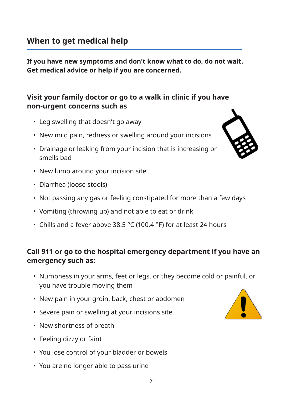**If you have new symptoms and don't know what to do, do not wait. Get medical advice or help if you are concerned.**

#### **Visit your family doctor or go to a walk in clinic if you have non-urgent concerns such as**

- Leg swelling that doesn't go away
- New mild pain, redness or swelling around your incisions
- Drainage or leaking from your incision that is increasing or smells bad



- New lump around your incision site
- Diarrhea (loose stools)
- Not passing any gas or feeling constipated for more than a few days
- Vomiting (throwing up) and not able to eat or drink
- Chills and a fever above 38.5 °C (100.4 °F) for at least 24 hours

#### **Call 911 or go to the hospital emergency department if you have an emergency such as:**

- Numbness in your arms, feet or legs, or they become cold or painful, or you have trouble moving them
- New pain in your groin, back, chest or abdomen
- Severe pain or swelling at your incisions site
- New shortness of breath
- Feeling dizzy or faint
- You lose control of your bladder or bowels
- You are no longer able to pass urine

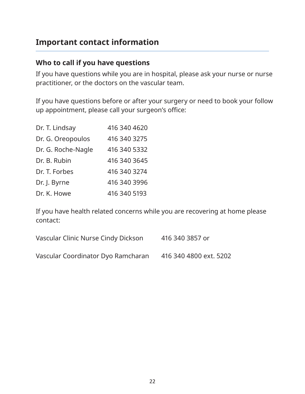# **Important contact information**

#### **Who to call if you have questions**

If you have questions while you are in hospital, please ask your nurse or nurse practitioner, or the doctors on the vascular team.

If you have questions before or after your surgery or need to book your follow up appointment, please call your surgeon's office:

| Dr. T. Lindsay     | 416 340 4620 |
|--------------------|--------------|
| Dr. G. Oreopoulos  | 416 340 3275 |
| Dr. G. Roche-Nagle | 416 340 5332 |
| Dr. B. Rubin       | 416 340 3645 |
| Dr. T. Forbes      | 416 340 3274 |
| Dr. J. Byrne       | 416 340 3996 |
| Dr. K. Howe        | 416 340 5193 |

If you have health related concerns while you are recovering at home please contact:

| Vascular Clinic Nurse Cindy Dickson | 416 340 3857 or        |
|-------------------------------------|------------------------|
| Vascular Coordinator Dyo Ramcharan  | 416 340 4800 ext. 5202 |